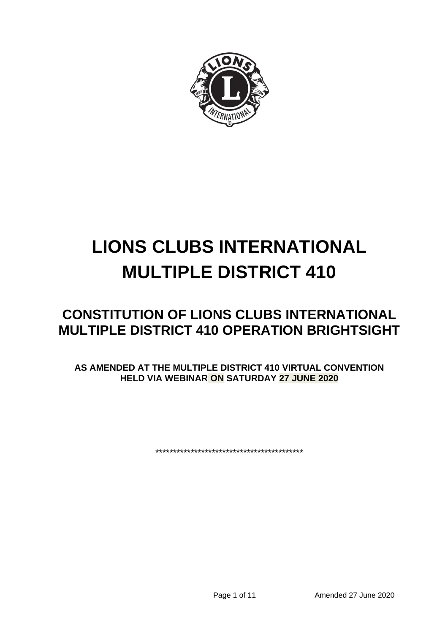

# **LIONS CLUBS INTERNATIONAL MULTIPLE DISTRICT 410**

## **CONSTITUTION OF LIONS CLUBS INTERNATIONAL MULTIPLE DISTRICT 410 OPERATION BRIGHTSIGHT**

**AS AMENDED AT THE MULTIPLE DISTRICT 410 VIRTUAL CONVENTION HELD VIA WEBINAR ON SATURDAY 27 JUNE 2020**

\*\*\*\*\*\*\*\*\*\*\*\*\*\*\*\*\*\*\*\*\*\*\*\*\*\*\*\*\*\*\*\*\*\*\*\*\*\*\*\*\*\*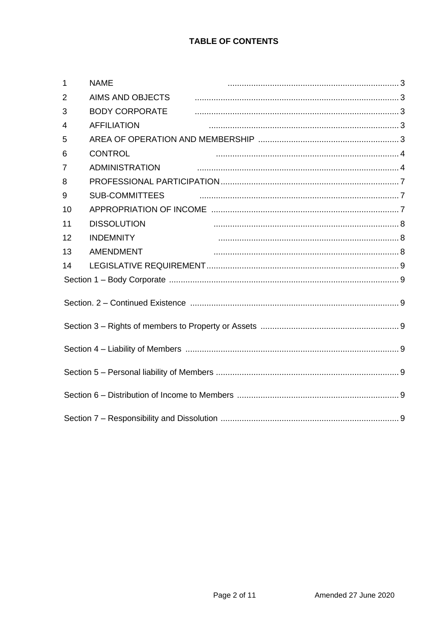| $\mathbf{1}$   | <b>NAME</b>             |  |
|----------------|-------------------------|--|
| $\overline{2}$ | <b>AIMS AND OBJECTS</b> |  |
| 3              | <b>BODY CORPORATE</b>   |  |
| 4              | <b>AFFILIATION</b>      |  |
| 5              |                         |  |
| 6              | <b>CONTROL</b>          |  |
| 7              |                         |  |
| 8              |                         |  |
| 9              | <b>SUB-COMMITTEES</b>   |  |
| 10             |                         |  |
| 11             | <b>DISSOLUTION</b>      |  |
| 12             | <b>INDEMNITY</b>        |  |
| 13             | <b>AMENDMENT</b>        |  |
| 14             |                         |  |
|                |                         |  |
|                |                         |  |
|                |                         |  |
|                |                         |  |
|                |                         |  |
|                |                         |  |
|                |                         |  |
|                |                         |  |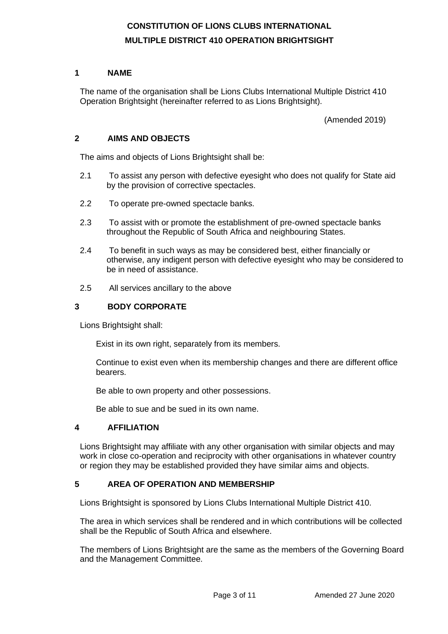### **CONSTITUTION OF LIONS CLUBS INTERNATIONAL MULTIPLE DISTRICT 410 OPERATION BRIGHTSIGHT**

#### **1 NAME**

The name of the organisation shall be Lions Clubs International Multiple District 410 Operation Brightsight (hereinafter referred to as Lions Brightsight).

(Amended 2019)

#### **2 AIMS AND OBJECTS**

The aims and objects of Lions Brightsight shall be:

- 2.1 To assist any person with defective eyesight who does not qualify for State aid by the provision of corrective spectacles.
- 2.2 To operate pre-owned spectacle banks.
- 2.3 To assist with or promote the establishment of pre-owned spectacle banks throughout the Republic of South Africa and neighbouring States.
- 2.4 To benefit in such ways as may be considered best, either financially or otherwise, any indigent person with defective eyesight who may be considered to be in need of assistance.
- 2.5 All services ancillary to the above

#### **3 BODY CORPORATE**

Lions Brightsight shall:

Exist in its own right, separately from its members.

Continue to exist even when its membership changes and there are different office bearers.

Be able to own property and other possessions.

Be able to sue and be sued in its own name.

#### **4 AFFILIATION**

Lions Brightsight may affiliate with any other organisation with similar objects and may work in close co-operation and reciprocity with other organisations in whatever country or region they may be established provided they have similar aims and objects.

#### **5 AREA OF OPERATION AND MEMBERSHIP**

Lions Brightsight is sponsored by Lions Clubs International Multiple District 410.

The area in which services shall be rendered and in which contributions will be collected shall be the Republic of South Africa and elsewhere.

The members of Lions Brightsight are the same as the members of the Governing Board and the Management Committee.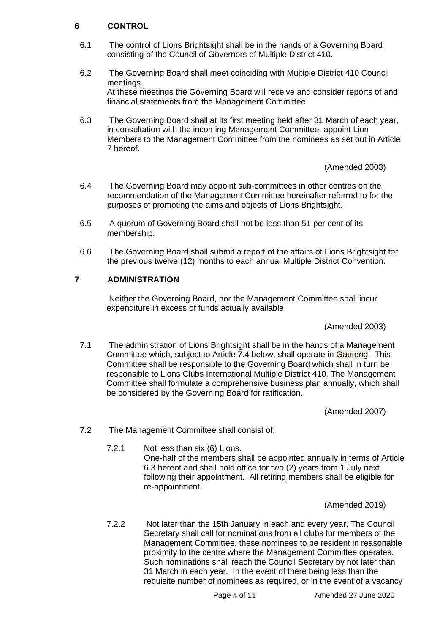#### **6 CONTROL**

- 6.1 The control of Lions Brightsight shall be in the hands of a Governing Board consisting of the Council of Governors of Multiple District 410.
- 6.2 The Governing Board shall meet coinciding with Multiple District 410 Council meetings. At these meetings the Governing Board will receive and consider reports of and financial statements from the Management Committee.
- 6.3 The Governing Board shall at its first meeting held after 31 March of each year, in consultation with the incoming Management Committee, appoint Lion Members to the Management Committee from the nominees as set out in Article 7 hereof.

(Amended 2003)

- 6.4 The Governing Board may appoint sub-committees in other centres on the recommendation of the Management Committee hereinafter referred to for the purposes of promoting the aims and objects of Lions Brightsight.
- 6.5 A quorum of Governing Board shall not be less than 51 per cent of its membership.
- 6.6 The Governing Board shall submit a report of the affairs of Lions Brightsight for the previous twelve (12) months to each annual Multiple District Convention.

#### **7 ADMINISTRATION**

Neither the Governing Board, nor the Management Committee shall incur expenditure in excess of funds actually available.

(Amended 2003)

7.1 The administration of Lions Brightsight shall be in the hands of a Management Committee which, subject to Article 7.4 below, shall operate in Gauteng. This Committee shall be responsible to the Governing Board which shall in turn be responsible to Lions Clubs International Multiple District 410. The Management Committee shall formulate a comprehensive business plan annually, which shall be considered by the Governing Board for ratification.

(Amended 2007)

- 7.2 The Management Committee shall consist of:
	- 7.2.1 Not less than six (6) Lions. One-half of the members shall be appointed annually in terms of Article 6.3 hereof and shall hold office for two (2) years from 1 July next following their appointment. All retiring members shall be eligible for re-appointment.

(Amended 2019)

7.2.2 Not later than the 15th January in each and every year, The Council Secretary shall call for nominations from all clubs for members of the Management Committee, these nominees to be resident in reasonable proximity to the centre where the Management Committee operates. Such nominations shall reach the Council Secretary by not later than 31 March in each year. In the event of there being less than the requisite number of nominees as required, or in the event of a vacancy

Page 4 of 11 Amended 27 June 2020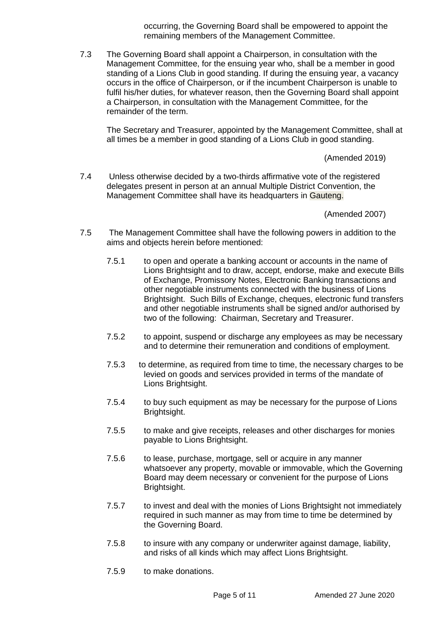occurring, the Governing Board shall be empowered to appoint the remaining members of the Management Committee.

7.3 The Governing Board shall appoint a Chairperson, in consultation with the Management Committee, for the ensuing year who, shall be a member in good standing of a Lions Club in good standing. If during the ensuing year, a vacancy occurs in the office of Chairperson, or if the incumbent Chairperson is unable to fulfil his/her duties, for whatever reason, then the Governing Board shall appoint a Chairperson, in consultation with the Management Committee, for the remainder of the term.

The Secretary and Treasurer, appointed by the Management Committee, shall at all times be a member in good standing of a Lions Club in good standing.

(Amended 2019)

7.4 Unless otherwise decided by a two-thirds affirmative vote of the registered delegates present in person at an annual Multiple District Convention, the Management Committee shall have its headquarters in Gauteng.

(Amended 2007)

- 7.5 The Management Committee shall have the following powers in addition to the aims and objects herein before mentioned:
	- 7.5.1 to open and operate a banking account or accounts in the name of Lions Brightsight and to draw, accept, endorse, make and execute Bills of Exchange, Promissory Notes, Electronic Banking transactions and other negotiable instruments connected with the business of Lions Brightsight. Such Bills of Exchange, cheques, electronic fund transfers and other negotiable instruments shall be signed and/or authorised by two of the following: Chairman, Secretary and Treasurer.
	- 7.5.2 to appoint, suspend or discharge any employees as may be necessary and to determine their remuneration and conditions of employment.
	- 7.5.3 to determine, as required from time to time, the necessary charges to be levied on goods and services provided in terms of the mandate of Lions Brightsight.
	- 7.5.4 to buy such equipment as may be necessary for the purpose of Lions Brightsight.
	- 7.5.5 to make and give receipts, releases and other discharges for monies payable to Lions Brightsight.
	- 7.5.6 to lease, purchase, mortgage, sell or acquire in any manner whatsoever any property, movable or immovable, which the Governing Board may deem necessary or convenient for the purpose of Lions Brightsight.
	- 7.5.7 to invest and deal with the monies of Lions Brightsight not immediately required in such manner as may from time to time be determined by the Governing Board.
	- 7.5.8 to insure with any company or underwriter against damage, liability, and risks of all kinds which may affect Lions Brightsight.
	- 7.5.9 to make donations.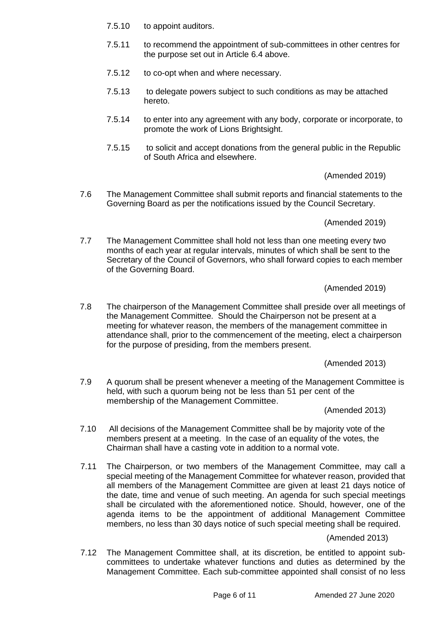- 7.5.10 to appoint auditors.
- 7.5.11 to recommend the appointment of sub-committees in other centres for the purpose set out in Article 6.4 above.
- 7.5.12 to co-opt when and where necessary.
- 7.5.13 to delegate powers subject to such conditions as may be attached hereto.
- 7.5.14 to enter into any agreement with any body, corporate or incorporate, to promote the work of Lions Brightsight.
- 7.5.15 to solicit and accept donations from the general public in the Republic of South Africa and elsewhere.

(Amended 2019)

7.6 The Management Committee shall submit reports and financial statements to the Governing Board as per the notifications issued by the Council Secretary.

(Amended 2019)

7.7 The Management Committee shall hold not less than one meeting every two months of each year at regular intervals, minutes of which shall be sent to the Secretary of the Council of Governors, who shall forward copies to each member of the Governing Board.

(Amended 2019)

7.8 The chairperson of the Management Committee shall preside over all meetings of the Management Committee. Should the Chairperson not be present at a meeting for whatever reason, the members of the management committee in attendance shall, prior to the commencement of the meeting, elect a chairperson for the purpose of presiding, from the members present.

(Amended 2013)

7.9 A quorum shall be present whenever a meeting of the Management Committee is held, with such a quorum being not be less than 51 per cent of the membership of the Management Committee.

(Amended 2013)

- 7.10 All decisions of the Management Committee shall be by majority vote of the members present at a meeting. In the case of an equality of the votes, the Chairman shall have a casting vote in addition to a normal vote.
- 7.11 The Chairperson, or two members of the Management Committee, may call a special meeting of the Management Committee for whatever reason, provided that all members of the Management Committee are given at least 21 days notice of the date, time and venue of such meeting. An agenda for such special meetings shall be circulated with the aforementioned notice. Should, however, one of the agenda items to be the appointment of additional Management Committee members, no less than 30 days notice of such special meeting shall be required.

(Amended 2013)

7.12 The Management Committee shall, at its discretion, be entitled to appoint subcommittees to undertake whatever functions and duties as determined by the Management Committee. Each sub-committee appointed shall consist of no less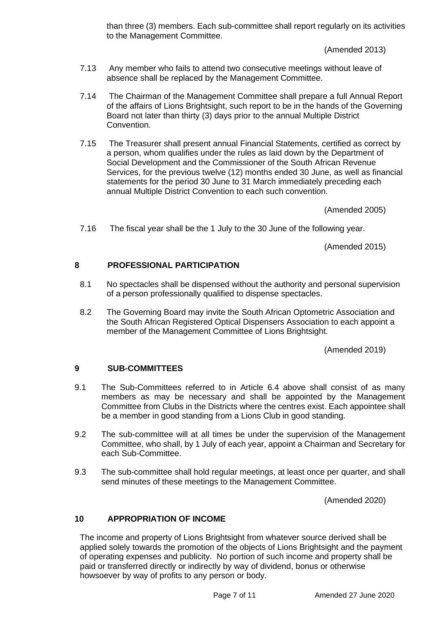than three (3) members. Each sub-committee shall report regularly on its activities to the Management Committee.

(Amended 2013)

- 7.13 Any member who fails to attend two consecutive meetings without leave of absence shall be replaced by the Management Committee.
- 7.14 The Chairman of the Management Committee shall prepare a full Annual Report of the affairs of Lions Brightsight, such report to be in the hands of the Governing Board not later than thirty (3) days prior to the annual Multiple District Convention.
- 7.15 The Treasurer shall present annual Financial Statements, certified as correct by a person, whom qualifies under the rules as laid down by the Department of Social Development and the Commissioner of the South African Revenue Services, for the previous twelve (12) months ended 30 June, as well as financial statements for the period 30 June to 31 March immediately preceding each annual Multiple District Convention to each such convention.

(Amended 2005)

7.16 The fiscal year shall be the 1 July to the 30 June of the following year.

(Amended 2015)

#### **8 PROFESSIONAL PARTICIPATION**

- 8.1 No spectacles shall be dispensed without the authority and personal supervision of a person professionally qualified to dispense spectacles.
- 8.2 The Governing Board may invite the South African Optometric Association and the South African Registered Optical Dispensers Association to each appoint a member of the Management Committee of Lions Brightsight.

(Amended 2019)

#### **9 SUB-COMMITTEES**

- 9.1 The Sub-Committees referred to in Article 6.4 above shall consist of as many members as may be necessary and shall be appointed by the Management Committee from Clubs in the Districts where the centres exist. Each appointee shall be a member in good standing from a Lions Club in good standing.
- 9.2 The sub-committee will at all times be under the supervision of the Management Committee, who shall, by 1 July of each year, appoint a Chairman and Secretary for each Sub-Committee.
- 9.3 The sub-committee shall hold regular meetings, at least once per quarter, and shall send minutes of these meetings to the Management Committee.

(Amended 2020)

#### **10 APPROPRIATION OF INCOME**

The income and property of Lions Brightsight from whatever source derived shall be applied solely towards the promotion of the objects of Lions Brightsight and the payment of operating expenses and publicity. No portion of such income and property shall be paid or transferred directly or indirectly by way of dividend, bonus or otherwise howsoever by way of profits to any person or body.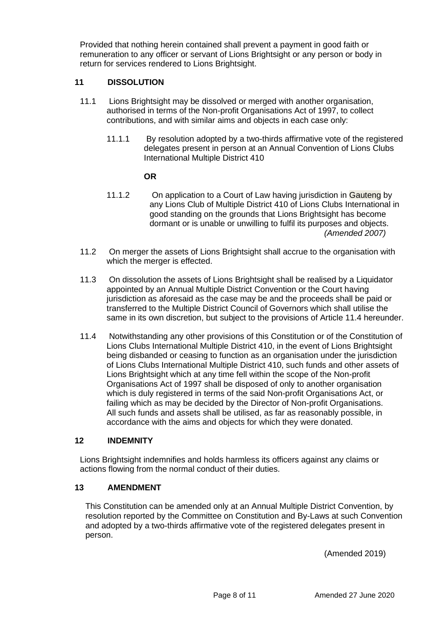Provided that nothing herein contained shall prevent a payment in good faith or remuneration to any officer or servant of Lions Brightsight or any person or body in return for services rendered to Lions Brightsight.

#### **11 DISSOLUTION**

- 11.1 Lions Brightsight may be dissolved or merged with another organisation, authorised in terms of the Non-profit Organisations Act of 1997, to collect contributions, and with similar aims and objects in each case only:
	- 11.1.1 By resolution adopted by a two-thirds affirmative vote of the registered delegates present in person at an Annual Convention of Lions Clubs International Multiple District 410

#### **OR**

- 11.1.2 On application to a Court of Law having jurisdiction in Gauteng by any Lions Club of Multiple District 410 of Lions Clubs International in good standing on the grounds that Lions Brightsight has become dormant or is unable or unwilling to fulfil its purposes and objects.  *(Amended 2007)*
- 11.2 On merger the assets of Lions Brightsight shall accrue to the organisation with which the merger is effected.
- 11.3 On dissolution the assets of Lions Brightsight shall be realised by a Liquidator appointed by an Annual Multiple District Convention or the Court having jurisdiction as aforesaid as the case may be and the proceeds shall be paid or transferred to the Multiple District Council of Governors which shall utilise the same in its own discretion, but subject to the provisions of Article 11.4 hereunder.
- 11.4 Notwithstanding any other provisions of this Constitution or of the Constitution of Lions Clubs International Multiple District 410, in the event of Lions Brightsight being disbanded or ceasing to function as an organisation under the jurisdiction of Lions Clubs International Multiple District 410, such funds and other assets of Lions Brightsight which at any time fell within the scope of the Non-profit Organisations Act of 1997 shall be disposed of only to another organisation which is duly registered in terms of the said Non-profit Organisations Act, or failing which as may be decided by the Director of Non-profit Organisations. All such funds and assets shall be utilised, as far as reasonably possible, in accordance with the aims and objects for which they were donated.

#### **12 INDEMNITY**

Lions Brightsight indemnifies and holds harmless its officers against any claims or actions flowing from the normal conduct of their duties.

#### **13 AMENDMENT**

This Constitution can be amended only at an Annual Multiple District Convention, by resolution reported by the Committee on Constitution and By-Laws at such Convention and adopted by a two-thirds affirmative vote of the registered delegates present in person.

(Amended 2019)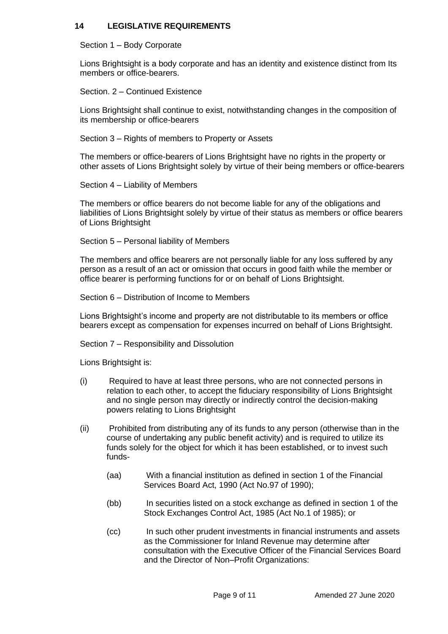#### **14 LEGISLATIVE REQUIREMENTS**

Section 1 – Body Corporate

Lions Brightsight is a body corporate and has an identity and existence distinct from Its members or office-bearers.

Section. 2 – Continued Existence

Lions Brightsight shall continue to exist, notwithstanding changes in the composition of its membership or office-bearers

Section 3 – Rights of members to Property or Assets

The members or office-bearers of Lions Brightsight have no rights in the property or other assets of Lions Brightsight solely by virtue of their being members or office-bearers

Section 4 – Liability of Members

The members or office bearers do not become liable for any of the obligations and liabilities of Lions Brightsight solely by virtue of their status as members or office bearers of Lions Brightsight

Section 5 – Personal liability of Members

The members and office bearers are not personally liable for any loss suffered by any person as a result of an act or omission that occurs in good faith while the member or office bearer is performing functions for or on behalf of Lions Brightsight.

Section 6 – Distribution of Income to Members

Lions Brightsight's income and property are not distributable to its members or office bearers except as compensation for expenses incurred on behalf of Lions Brightsight.

Section 7 – Responsibility and Dissolution

Lions Brightsight is:

- (i) Required to have at least three persons, who are not connected persons in relation to each other, to accept the fiduciary responsibility of Lions Brightsight and no single person may directly or indirectly control the decision-making powers relating to Lions Brightsight
- (ii) Prohibited from distributing any of its funds to any person (otherwise than in the course of undertaking any public benefit activity) and is required to utilize its funds solely for the object for which it has been established, or to invest such funds-
	- (aa) With a financial institution as defined in section 1 of the Financial Services Board Act, 1990 (Act No.97 of 1990);
	- (bb) In securities listed on a stock exchange as defined in section 1 of the Stock Exchanges Control Act, 1985 (Act No.1 of 1985); or
	- (cc) In such other prudent investments in financial instruments and assets as the Commissioner for Inland Revenue may determine after consultation with the Executive Officer of the Financial Services Board and the Director of Non–Profit Organizations: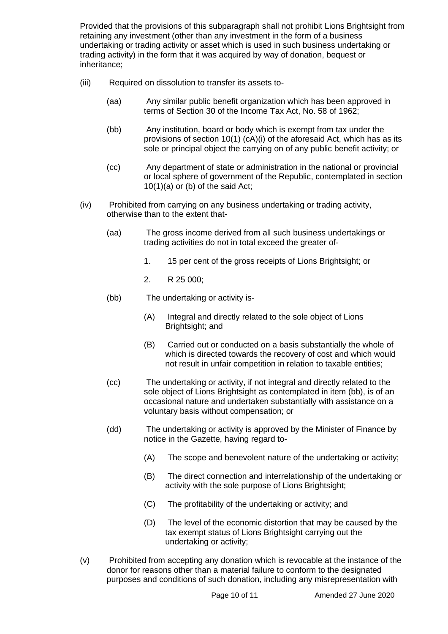Provided that the provisions of this subparagraph shall not prohibit Lions Brightsight from retaining any investment (other than any investment in the form of a business undertaking or trading activity or asset which is used in such business undertaking or trading activity) in the form that it was acquired by way of donation, bequest or inheritance;

- (iii) Required on dissolution to transfer its assets to-
	- (aa) Any similar public benefit organization which has been approved in terms of Section 30 of the Income Tax Act, No. 58 of 1962;
	- (bb) Any institution, board or body which is exempt from tax under the provisions of section 10(1) (cA)(i) of the aforesaid Act, which has as its sole or principal object the carrying on of any public benefit activity; or
	- (cc) Any department of state or administration in the national or provincial or local sphere of government of the Republic, contemplated in section  $10(1)(a)$  or (b) of the said Act;
- (iv) Prohibited from carrying on any business undertaking or trading activity, otherwise than to the extent that-
	- (aa) The gross income derived from all such business undertakings or trading activities do not in total exceed the greater of-
		- 1. 15 per cent of the gross receipts of Lions Brightsight; or
		- 2. R 25 000;
	- (bb) The undertaking or activity is-
		- (A) Integral and directly related to the sole object of Lions Brightsight; and
		- (B) Carried out or conducted on a basis substantially the whole of which is directed towards the recovery of cost and which would not result in unfair competition in relation to taxable entities;
	- (cc) The undertaking or activity, if not integral and directly related to the sole object of Lions Brightsight as contemplated in item (bb), is of an occasional nature and undertaken substantially with assistance on a voluntary basis without compensation; or
	- (dd) The undertaking or activity is approved by the Minister of Finance by notice in the Gazette, having regard to-
		- (A) The scope and benevolent nature of the undertaking or activity;
		- (B) The direct connection and interrelationship of the undertaking or activity with the sole purpose of Lions Brightsight;
		- (C) The profitability of the undertaking or activity; and
		- (D) The level of the economic distortion that may be caused by the tax exempt status of Lions Brightsight carrying out the undertaking or activity;
- (v) Prohibited from accepting any donation which is revocable at the instance of the donor for reasons other than a material failure to conform to the designated purposes and conditions of such donation, including any misrepresentation with